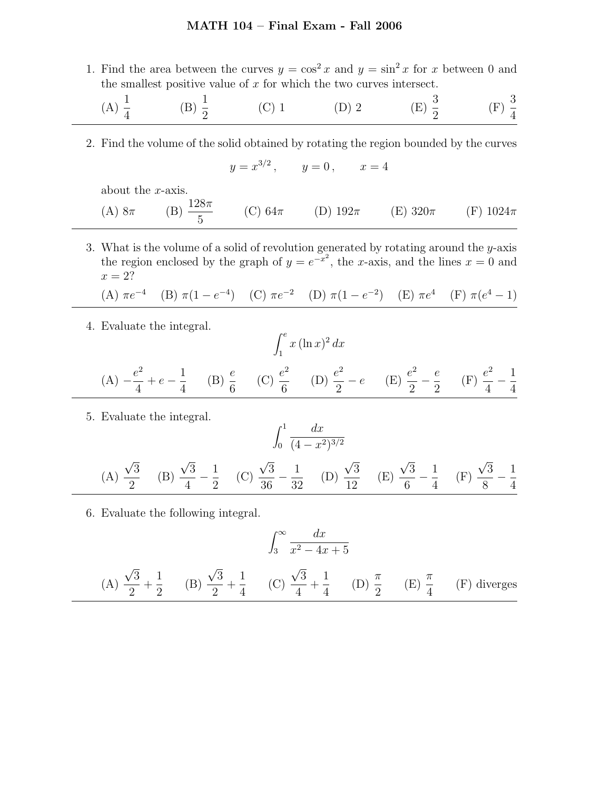## MATH 104 – Final Exam - Fall 2006

1. Find the area between the curves  $y = \cos^2 x$  and  $y = \sin^2 x$  for x between 0 and the smallest positive value of  $x$  for which the two curves intersect.

(A) 
$$
\frac{1}{4}
$$
 \t(B)  $\frac{1}{2}$  \t(C) 1 \t(D) 2 \t(E)  $\frac{3}{2}$  \t(F)  $\frac{3}{4}$ 

2. Find the volume of the solid obtained by rotating the region bounded by the curves

$$
y = x^{3/2}
$$
,  $y = 0$ ,  $x = 4$ 

about the x-axis.

(A) 
$$
8\pi
$$
 (B)  $\frac{128\pi}{5}$  (C)  $64\pi$  (D)  $192\pi$  (E)  $320\pi$  (F)  $1024\pi$ 

3. What is the volume of a solid of revolution generated by rotating around the  $y$ -axis the region enclosed by the graph of  $y = e^{-x^2}$ , the x-axis, and the lines  $x = 0$  and  $x=2?$ 

(A) 
$$
\pi e^{-4}
$$
 (B)  $\pi (1 - e^{-4})$  (C)  $\pi e^{-2}$  (D)  $\pi (1 - e^{-2})$  (E)  $\pi e^{4}$  (F)  $\pi (e^{4} - 1)$ 

4. Evaluate the integral.

$$
\int_{1}^{e} x (\ln x)^{2} dx
$$
\n(A)  $-\frac{e^{2}}{4} + e - \frac{1}{4}$  (B)  $\frac{e}{6}$  (C)  $\frac{e^{2}}{6}$  (D)  $\frac{e^{2}}{2} - e$  (E)  $\frac{e^{2}}{2} - \frac{e}{2}$  (F)  $\frac{e^{2}}{4} - \frac{1}{4}$ 

5. Evaluate the integral.

$$
\int_0^1 \frac{dx}{(4 - x^2)^{3/2}}
$$
\n(A)  $\frac{\sqrt{3}}{2}$  (B)  $\frac{\sqrt{3}}{4} - \frac{1}{2}$  (C)  $\frac{\sqrt{3}}{36} - \frac{1}{32}$  (D)  $\frac{\sqrt{3}}{12}$  (E)  $\frac{\sqrt{3}}{6} - \frac{1}{4}$  (F)  $\frac{\sqrt{3}}{8} - \frac{1}{4}$ 

6. Evaluate the following integral.

$$
\int_3^\infty \frac{dx}{x^2 - 4x + 5}
$$

(A) 
$$
\frac{\sqrt{3}}{2} + \frac{1}{2}
$$
 (B)  $\frac{\sqrt{3}}{2} + \frac{1}{4}$  (C)  $\frac{\sqrt{3}}{4} + \frac{1}{4}$  (D)  $\frac{\pi}{2}$  (E)  $\frac{\pi}{4}$  (F) diverges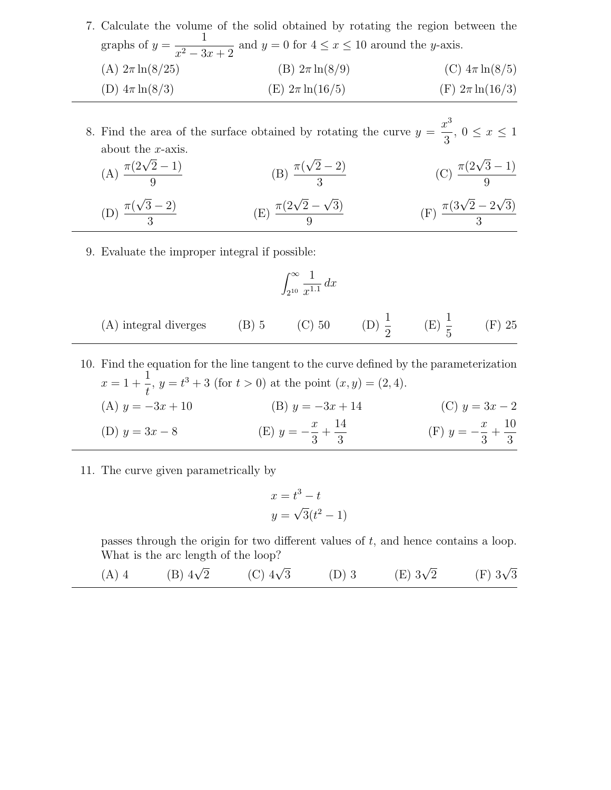|                                                                                            | 7. Calculate the volume of the solid obtained by rotating the region between the |                      |
|--------------------------------------------------------------------------------------------|----------------------------------------------------------------------------------|----------------------|
| graphs of $y = \frac{1}{x^2 - 3x + 2}$ and $y = 0$ for $4 \le x \le 10$ around the y-axis. |                                                                                  |                      |
| (A) $2\pi \ln(8/25)$                                                                       | (B) $2\pi \ln(8/9)$                                                              | (C) $4\pi \ln(8/5)$  |
| (D) $4\pi \ln(8/3)$                                                                        | (E) $2\pi \ln(16/5)$                                                             | (F) $2\pi \ln(16/3)$ |

8. Find the area of the surface obtained by rotating the curve  $y =$  $x^3$  $\frac{3}{3}$ ,  $0 \leq x \leq 1$ about the x-axis.

(A) 
$$
\frac{\pi(2\sqrt{2}-1)}{9}
$$
 (B)  $\frac{\pi(\sqrt{2}-2)}{3}$  (C)  $\frac{\pi(2\sqrt{3}-1)}{9}$   
(D)  $\frac{\pi(\sqrt{3}-2)}{3}$  (E)  $\frac{\pi(2\sqrt{2}-\sqrt{3})}{9}$  (F)  $\frac{\pi(3\sqrt{2}-2\sqrt{3})}{3}$ 

9. Evaluate the improper integral if possible:

3

$$
\int_{2^{10}}^{\infty} \frac{1}{x^{1.1}} dx
$$

- (A) integral diverges (B) 5 (C) 50 (D)  $\frac{1}{2}$ 2  $(E) \frac{1}{5}$ 5 (F) 25
- 10. Find the equation for the line tangent to the curve defined by the parameterization  $x = 1 +$ 1 t  $, y = t^3 + 3$  (for  $t > 0$ ) at the point  $(x, y) = (2, 4)$ . (A)  $y = -3x + 10$  (B)  $y = -3x + 14$  (C)  $y = 3x - 2$ (D)  $y = 3x - 8$  (E)  $y = \boldsymbol{x}$ 3  $+$ 14  $\frac{1}{3}$  (F)  $y = \boldsymbol{x}$ 3  $+$ 10 3
- 11. The curve given parametrically by

$$
x = t3 - t
$$

$$
y = \sqrt{3}(t2 - 1)
$$

passes through the origin for two different values of  $t$ , and hence contains a loop. What is the arc length of the loop?

(A) 4 (B) 
$$
4\sqrt{2}
$$
 (C)  $4\sqrt{3}$  (D) 3 (E)  $3\sqrt{2}$  (F)  $3\sqrt{3}$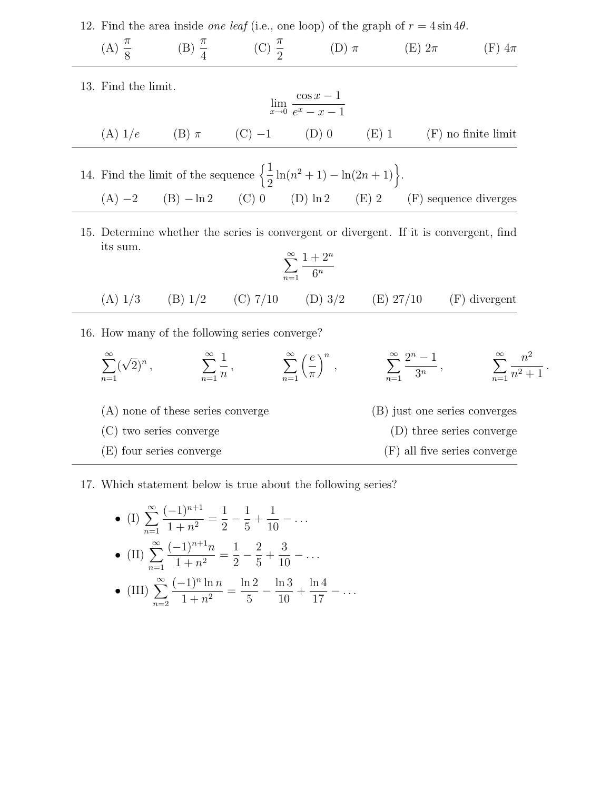12. Find the area inside *one leaf* (i.e., one loop) of the graph of  $r = 4 \sin 4\theta$ .

 $(A) \frac{\pi}{2}$ 8  $(B) \frac{\pi}{4}$ 4  $(C) \frac{\pi}{2}$ 2 (D)  $\pi$  (E)  $2\pi$  (F)  $4\pi$ 

13. Find the limit.

$$
\lim_{x \to 0} \frac{\cos x - 1}{e^x - x - 1}
$$

(A) 
$$
1/e
$$
 (B)  $\pi$  (C) -1 (D) 0 (E) 1 (F) no finite limit

14. Find the limit of the sequence 
$$
\left\{ \frac{1}{2} \ln(n^2 + 1) - \ln(2n + 1) \right\}.
$$
  
(A) -2 (B) -ln2 (C) 0 (D) ln2 (E) 2 (F) sequence diverges

15. Determine whether the series is convergent or divergent. If it is convergent, find its sum.  $\infty$  $\Omega$ 

$$
\sum_{n=1}^{\infty} \frac{1+2^n}{6^n}
$$

(A) 
$$
1/3
$$
 (B)  $1/2$  (C)  $7/10$  (D)  $3/2$  (E)  $27/10$  (F) divergent

16. How many of the following series converge?

$$
\sum_{n=1}^{\infty} (\sqrt{2})^n, \qquad \sum_{n=1}^{\infty} \frac{1}{n}, \qquad \sum_{n=1}^{\infty} \left(\frac{e}{\pi}\right)^n, \qquad \sum_{n=1}^{\infty} \frac{2^n - 1}{3^n}, \qquad \sum_{n=1}^{\infty} \frac{n^2}{n^2 + 1}.
$$
\n(A) none of these series converge

\n(B) just one series converges

\n(C) two series converge

\n(D) three series converge

\n(F) all five series converge

− . . .

## 17. Which statement below is true about the following series?

• (I) 
$$
\sum_{n=1}^{\infty} \frac{(-1)^{n+1}}{1+n^2} = \frac{1}{2} - \frac{1}{5} + \frac{1}{10} - \dots
$$
  
\n• (II) 
$$
\sum_{n=1}^{\infty} \frac{(-1)^{n+1}n}{1+n^2} = \frac{1}{2} - \frac{2}{5} + \frac{3}{10} - \dots
$$
  
\n• (III) 
$$
\sum_{n=2}^{\infty} \frac{(-1)^n \ln n}{1+n^2} = \frac{\ln 2}{5} - \frac{\ln 3}{10} + \frac{\ln 4}{17} - \dots
$$